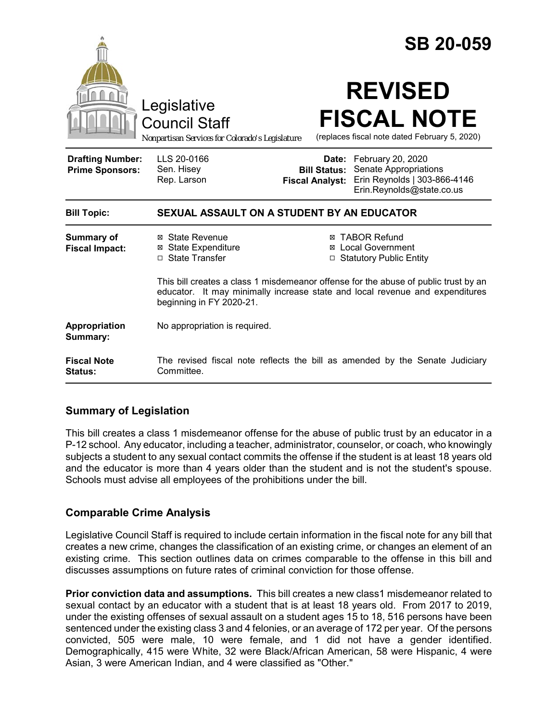|                                                   |                                                                                                                                                                                                 |                                               | <b>SB 20-059</b>                                                                                              |
|---------------------------------------------------|-------------------------------------------------------------------------------------------------------------------------------------------------------------------------------------------------|-----------------------------------------------|---------------------------------------------------------------------------------------------------------------|
|                                                   | Legislative<br><b>Council Staff</b><br>Nonpartisan Services for Colorado's Legislature                                                                                                          |                                               | <b>REVISED</b><br><b>FISCAL NOTE</b><br>(replaces fiscal note dated February 5, 2020)                         |
| <b>Drafting Number:</b><br><b>Prime Sponsors:</b> | LLS 20-0166<br>Sen. Hisey<br>Rep. Larson                                                                                                                                                        | <b>Bill Status:</b><br><b>Fiscal Analyst:</b> | Date: February 20, 2020<br>Senate Appropriations<br>Erin Reynolds   303-866-4146<br>Erin.Reynolds@state.co.us |
| <b>Bill Topic:</b>                                | SEXUAL ASSAULT ON A STUDENT BY AN EDUCATOR                                                                                                                                                      |                                               |                                                                                                               |
| Summary of<br><b>Fiscal Impact:</b>               | ⊠ State Revenue<br><b>⊠</b> State Expenditure<br>$\Box$ State Transfer                                                                                                                          |                                               | <b>⊠ TABOR Refund</b><br>⊠ Local Government<br>□ Statutory Public Entity                                      |
|                                                   | This bill creates a class 1 misdemeanor offense for the abuse of public trust by an<br>educator. It may minimally increase state and local revenue and expenditures<br>beginning in FY 2020-21. |                                               |                                                                                                               |
| Appropriation<br>Summary:                         | No appropriation is required.                                                                                                                                                                   |                                               |                                                                                                               |
| <b>Fiscal Note</b><br>Status:                     | The revised fiscal note reflects the bill as amended by the Senate Judiciary<br>Committee.                                                                                                      |                                               |                                                                                                               |

# **Summary of Legislation**

This bill creates a class 1 misdemeanor offense for the abuse of public trust by an educator in a P-12 school. Any educator, including a teacher, administrator, counselor, or coach, who knowingly subjects a student to any sexual contact commits the offense if the student is at least 18 years old and the educator is more than 4 years older than the student and is not the student's spouse. Schools must advise all employees of the prohibitions under the bill.

# **Comparable Crime Analysis**

Legislative Council Staff is required to include certain information in the fiscal note for any bill that creates a new crime, changes the classification of an existing crime, or changes an element of an existing crime. This section outlines data on crimes comparable to the offense in this bill and discusses assumptions on future rates of criminal conviction for those offense.

**Prior conviction data and assumptions.** This bill creates a new class1 misdemeanor related to sexual contact by an educator with a student that is at least 18 years old. From 2017 to 2019, under the existing offenses of sexual assault on a student ages 15 to 18, 516 persons have been sentenced under the existing class 3 and 4 felonies, or an average of 172 per year. Of the persons convicted, 505 were male, 10 were female, and 1 did not have a gender identified. Demographically, 415 were White, 32 were Black/African American, 58 were Hispanic, 4 were Asian, 3 were American Indian, and 4 were classified as "Other."